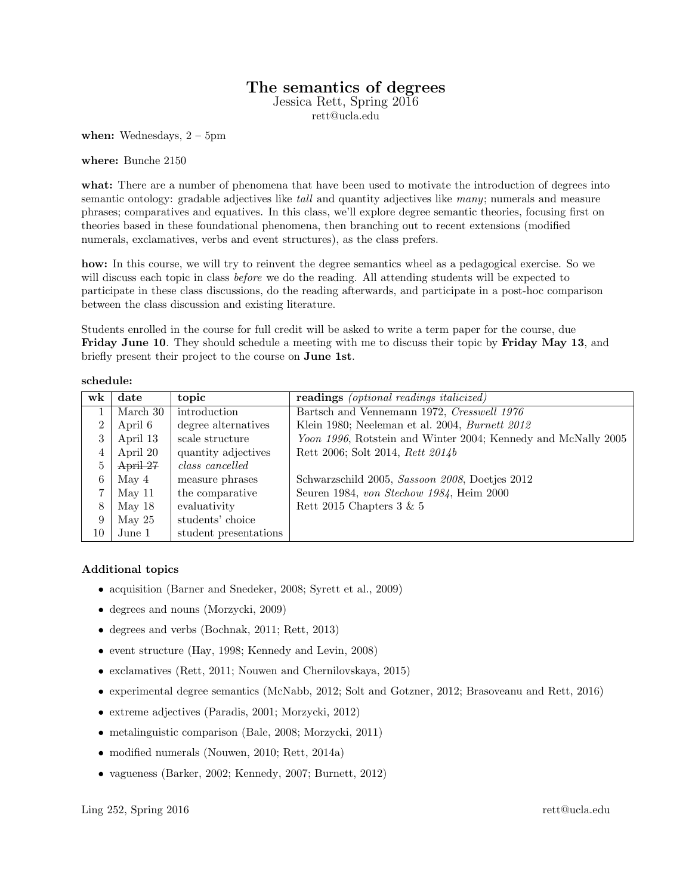## The semantics of degrees

Jessica Rett, Spring 2016

rett@ucla.edu

when: Wednesdays,  $2 - 5$ pm

where: Bunche 2150

what: There are a number of phenomena that have been used to motivate the introduction of degrees into semantic ontology: gradable adjectives like *tall* and quantity adjectives like many; numerals and measure phrases; comparatives and equatives. In this class, we'll explore degree semantic theories, focusing first on theories based in these foundational phenomena, then branching out to recent extensions (modified numerals, exclamatives, verbs and event structures), as the class prefers.

how: In this course, we will try to reinvent the degree semantics wheel as a pedagogical exercise. So we will discuss each topic in class *before* we do the reading. All attending students will be expected to participate in these class discussions, do the reading afterwards, and participate in a post-hoc comparison between the class discussion and existing literature.

Students enrolled in the course for full credit will be asked to write a term paper for the course, due Friday June 10. They should schedule a meeting with me to discuss their topic by Friday May 13, and briefly present their project to the course on June 1st.

| w <sub>k</sub> | date     | topic                 | <b>readings</b> (optional readings italicized)                |
|----------------|----------|-----------------------|---------------------------------------------------------------|
|                | March 30 | introduction          | Bartsch and Vennemann 1972, Cresswell 1976                    |
| $\overline{2}$ | April 6  | degree alternatives   | Klein 1980; Neeleman et al. 2004, Burnett 2012                |
|                | April 13 | scale structure       | Yoon 1996, Rotstein and Winter 2004; Kennedy and McNally 2005 |
|                | April 20 | quantity adjectives   | Rett 2006; Solt 2014, Rett 2014b                              |
| 5              | April 27 | class cancelled       |                                                               |
| 6              | May 4    | measure phrases       | Schwarzschild 2005, Sassoon 2008, Doetjes 2012                |
|                | May 11   | the comparative       | Seuren 1984, von Stechow 1984, Heim 2000                      |
| 8              | May 18   | evaluativity          | Rett 2015 Chapters $3 \& 5$                                   |
| 9              | May $25$ | students' choice      |                                                               |
| 10             | June 1   | student presentations |                                                               |

## schedule:

## Additional topics

- acquisition (Barner and Snedeker, 2008; Syrett et al., 2009)
- degrees and nouns (Morzycki, 2009)
- degrees and verbs (Bochnak, 2011; Rett, 2013)
- event structure (Hay, 1998; Kennedy and Levin, 2008)
- exclamatives (Rett, 2011; Nouwen and Chernilovskaya, 2015)
- experimental degree semantics (McNabb, 2012; Solt and Gotzner, 2012; Brasoveanu and Rett, 2016)
- extreme adjectives (Paradis, 2001; Morzycki, 2012)
- metalinguistic comparison (Bale, 2008; Morzycki, 2011)
- modified numerals (Nouwen, 2010; Rett, 2014a)
- vagueness (Barker, 2002; Kennedy, 2007; Burnett, 2012)